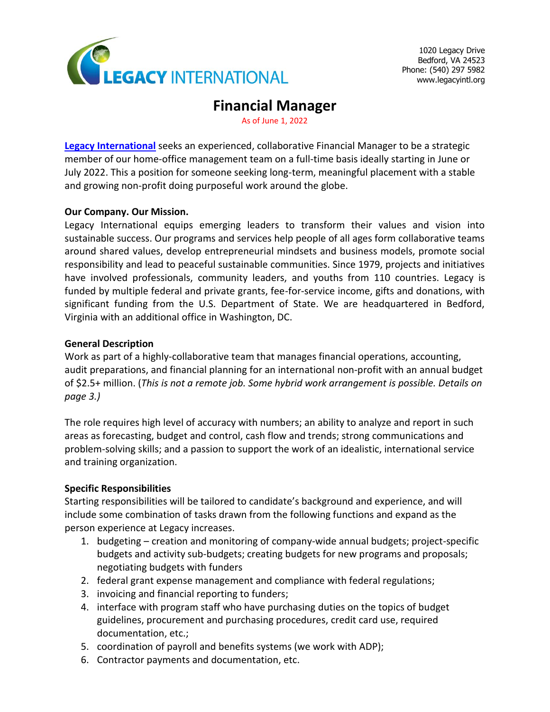

1020 Legacy Drive Bedford, VA 24523 Phone: (540) 297 5982 [www.legacyintl.org](http://www.legacyintl.org/)

# **Financial Manager**

As of June 1, 2022

**[Legacy International](http://www.legacyintl.org/)** seeks an experienced, collaborative Financial Manager to be a strategic member of our home-office management team on a full-time basis ideally starting in June or July 2022. This a position for someone seeking long-term, meaningful placement with a stable and growing non-profit doing purposeful work around the globe.

### **Our Company. Our Mission.**

Legacy International equips emerging leaders to transform their values and vision into sustainable success. Our programs and services help people of all ages form collaborative teams around shared values, develop entrepreneurial mindsets and business models, promote social responsibility and lead to peaceful sustainable communities. Since 1979, projects and initiatives have involved professionals, community leaders, and youths from 110 countries. Legacy is funded by multiple federal and private grants, fee-for-service income, gifts and donations, with significant funding from the U.S. Department of State. We are headquartered in Bedford, Virginia with an additional office in Washington, DC.

### **General Description**

Work as part of a highly-collaborative team that manages financial operations, accounting, audit preparations, and financial planning for an international non-profit with an annual budget of \$2.5+ million. (*This is not a remote job. Some hybrid work arrangement is possible. Details on page 3.)*

The role requires high level of accuracy with numbers; an ability to analyze and report in such areas as forecasting, budget and control, cash flow and trends; strong communications and problem-solving skills; and a passion to support the work of an idealistic, international service and training organization.

## **Specific Responsibilities**

Starting responsibilities will be tailored to candidate's background and experience, and will include some combination of tasks drawn from the following functions and expand as the person experience at Legacy increases.

- 1. budgeting creation and monitoring of company-wide annual budgets; project-specific budgets and activity sub-budgets; creating budgets for new programs and proposals; negotiating budgets with funders
- 2. federal grant expense management and compliance with federal regulations;
- 3. invoicing and financial reporting to funders;
- 4. interface with program staff who have purchasing duties on the topics of budget guidelines, procurement and purchasing procedures, credit card use, required documentation, etc.;
- 5. coordination of payroll and benefits systems (we work with ADP);
- 6. Contractor payments and documentation, etc.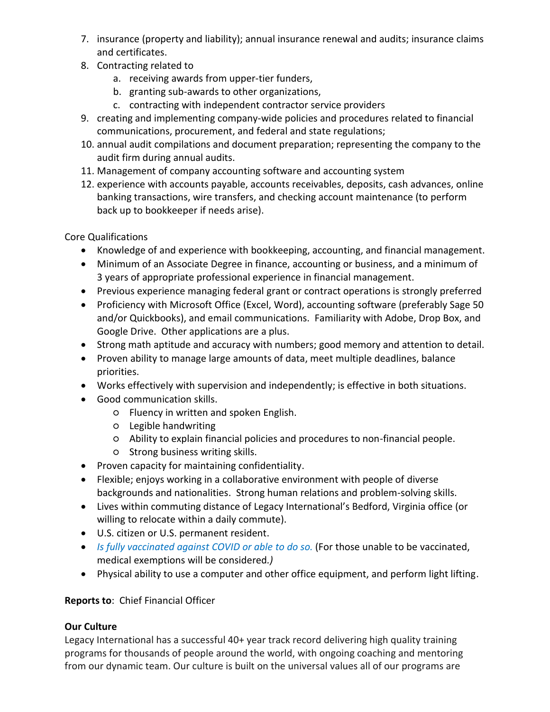- 7. insurance (property and liability); annual insurance renewal and audits; insurance claims and certificates.
- 8. Contracting related to
	- a. receiving awards from upper-tier funders,
	- b. granting sub-awards to other organizations,
	- c. contracting with independent contractor service providers
- 9. creating and implementing company-wide policies and procedures related to financial communications, procurement, and federal and state regulations;
- 10. annual audit compilations and document preparation; representing the company to the audit firm during annual audits.
- 11. Management of company accounting software and accounting system
- 12. experience with accounts payable, accounts receivables, deposits, cash advances, online banking transactions, wire transfers, and checking account maintenance (to perform back up to bookkeeper if needs arise).

Core Qualifications

- Knowledge of and experience with bookkeeping, accounting, and financial management.
- Minimum of an Associate Degree in finance, accounting or business, and a minimum of 3 years of appropriate professional experience in financial management.
- Previous experience managing federal grant or contract operations is strongly preferred
- Proficiency with Microsoft Office (Excel, Word), accounting software (preferably Sage 50 and/or Quickbooks), and email communications. Familiarity with Adobe, Drop Box, and Google Drive. Other applications are a plus.
- Strong math aptitude and accuracy with numbers; good memory and attention to detail.
- Proven ability to manage large amounts of data, meet multiple deadlines, balance priorities.
- Works effectively with supervision and independently; is effective in both situations.
- Good communication skills.
	- Fluency in written and spoken English.
	- Legible handwriting
	- Ability to explain financial policies and procedures to non-financial people.
	- Strong business writing skills.
- Proven capacity for maintaining confidentiality.
- Flexible; enjoys working in a collaborative environment with people of diverse backgrounds and nationalities. Strong human relations and problem-solving skills.
- Lives within commuting distance of Legacy International's Bedford, Virginia office (or willing to relocate within a daily commute).
- U.S. citizen or U.S. permanent resident.
- *Is fully vaccinated against COVID or able to do so.* (For those unable to be vaccinated, medical exemptions will be considered*.)*
- Physical ability to use a computer and other office equipment, and perform light lifting.

# **Reports to**: Chief Financial Officer

## **Our Culture**

Legacy International has a successful 40+ year track record delivering high quality training programs for thousands of people around the world, with ongoing coaching and mentoring from our dynamic team. Our culture is built on the universal values all of our programs are